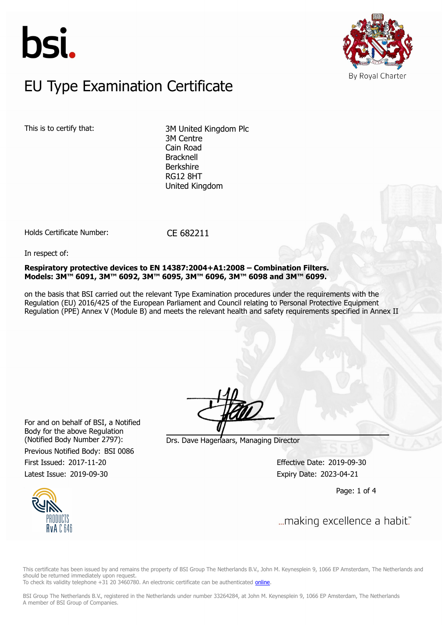



### $E$ U Type Examination Certific EU Type Examination Certificate

This is to certify that: 3M United Kingdom Plc 3M Centre Cain Road Bracknell Berkshire RG12 8HT United Kingdom

Holds Certificate Number: CE 682211

In respect of:

**Respiratory protective devices to EN 14387:2004+A1:2008 – Combination Filters. Models: 3M™ 6091, 3M™ 6092, 3M™ 6095, 3M™ 6096, 3M™ 6098 and 3M™ 6099.**

on the basis that BSI carried out the relevant Type Examination procedures under the requirements with the Regulation (EU) 2016/425 of the European Parliament and Council relating to Personal Protective Equipment Regulation (PPE) Annex V (Module B) and meets the relevant health and safety requirements specified in Annex II

For and on behalf of BSI, a Notified Body for the above Regulation

Previous Notified Body: BSI 0086

(Notified Body Number 2797): Drs. Dave Hagenaars, Managing Director

First Issued: 2017-11-20 Effective Date: 2019-09-30 Latest Issue: 2019-09-30 **Expiry Date: 2023-04-21** 

Page: 1 of 4



This certificate has been issued by and remains the property of BSI Group The Netherlands B.V., John M. Keynesplein 9, 1066 EP Amsterdam, The Netherlands and should be returned immediately upon request.

To check its validity telephone +31 20 3460780. An electronic certificate can be authenticated [online.](https://pgplus.bsigroup.com/CertificateValidation/CertificateValidator.aspx?CertificateNumber=CE+682211&ReIssueDate=30%2f09%2f2019&Template=uk)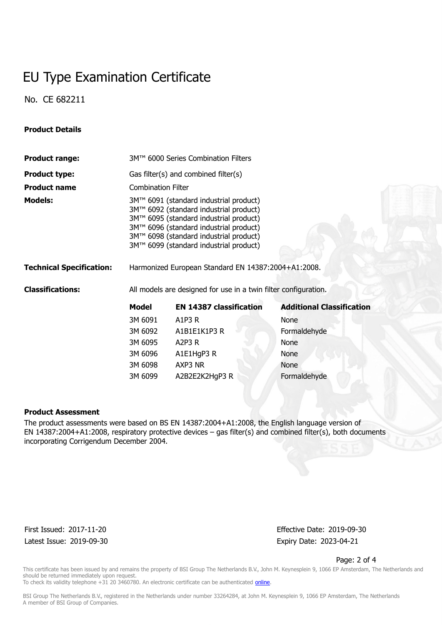## EU Type Examination Certificate

No. CE 682211

### **Product Details**

| <b>Product range:</b>           | 3M™ 6000 Series Combination Filters                                                                                                                                                                                                                      |                                |                                  |  |  |
|---------------------------------|----------------------------------------------------------------------------------------------------------------------------------------------------------------------------------------------------------------------------------------------------------|--------------------------------|----------------------------------|--|--|
| <b>Product type:</b>            | Gas filter(s) and combined filter(s)                                                                                                                                                                                                                     |                                |                                  |  |  |
| <b>Product name</b>             | <b>Combination Filter</b>                                                                                                                                                                                                                                |                                |                                  |  |  |
| <b>Models:</b>                  | 3M™ 6091 (standard industrial product)<br>3M™ 6092 (standard industrial product)<br>3M™ 6095 (standard industrial product)<br>3M™ 6096 (standard industrial product)<br>3M™ 6098 (standard industrial product)<br>3M™ 6099 (standard industrial product) |                                |                                  |  |  |
| <b>Technical Specification:</b> | Harmonized European Standard EN 14387:2004+A1:2008.                                                                                                                                                                                                      |                                |                                  |  |  |
| <b>Classifications:</b>         | All models are designed for use in a twin filter configuration.                                                                                                                                                                                          |                                |                                  |  |  |
|                                 | <b>Model</b>                                                                                                                                                                                                                                             | <b>EN 14387 classification</b> | <b>Additional Classification</b> |  |  |
|                                 | 3M 6091                                                                                                                                                                                                                                                  | A1P3 R                         | None                             |  |  |
|                                 | 3M 6092                                                                                                                                                                                                                                                  | A1B1E1K1P3 R                   | Formaldehyde                     |  |  |
|                                 | 3M 6095                                                                                                                                                                                                                                                  | A2P3 $R$                       | <b>None</b>                      |  |  |
|                                 | 3M 6096                                                                                                                                                                                                                                                  | A1E1HgP3 R                     | None                             |  |  |
|                                 | 3M 6098                                                                                                                                                                                                                                                  | AXP3 NR                        | <b>None</b>                      |  |  |
|                                 | 3M 6099                                                                                                                                                                                                                                                  | A2B2E2K2HqP3 R                 | Formaldehyde                     |  |  |

#### **Product Assessment**

The product assessments were based on BS EN 14387:2004+A1:2008, the English language version of EN 14387:2004+A1:2008, respiratory protective devices – gas filter(s) and combined filter(s), both documents incorporating Corrigendum December 2004.

Latest Issue: 2019-09-30 **Expiry Date: 2023-04-21** 

First Issued: 2017-11-20 Effective Date: 2019-09-30

Page: 2 of 4

This certificate has been issued by and remains the property of BSI Group The Netherlands B.V., John M. Keynesplein 9, 1066 EP Amsterdam, The Netherlands and should be returned immediately upon request.

To check its validity telephone +31 20 3460780. An electronic certificate can be authenticated *online*.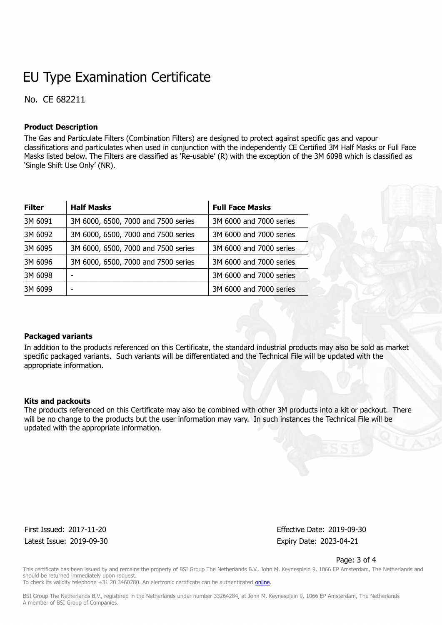# EU Type Examination Certificate

No. CE 682211

### **Product Description**

The Gas and Particulate Filters (Combination Filters) are designed to protect against specific gas and vapour classifications and particulates when used in conjunction with the independently CE Certified 3M Half Masks or Full Face Masks listed below. The Filters are classified as 'Re-usable' (R) with the exception of the 3M 6098 which is classified as 'Single Shift Use Only' (NR).

| <b>Filter</b> | <b>Half Masks</b>                   | <b>Full Face Masks</b>  |
|---------------|-------------------------------------|-------------------------|
| 3M 6091       | 3M 6000, 6500, 7000 and 7500 series | 3M 6000 and 7000 series |
| 3M 6092       | 3M 6000, 6500, 7000 and 7500 series | 3M 6000 and 7000 series |
| 3M 6095       | 3M 6000, 6500, 7000 and 7500 series | 3M 6000 and 7000 series |
| 3M 6096       | 3M 6000, 6500, 7000 and 7500 series | 3M 6000 and 7000 series |
| 3M 6098       |                                     | 3M 6000 and 7000 series |
| 3M 6099       |                                     | 3M 6000 and 7000 series |

#### **Packaged variants**

In addition to the products referenced on this Certificate, the standard industrial products may also be sold as market specific packaged variants. Such variants will be differentiated and the Technical File will be updated with the appropriate information.

#### **Kits and packouts**

The products referenced on this Certificate may also be combined with other 3M products into a kit or packout. There will be no change to the products but the user information may vary. In such instances the Technical File will be updated with the appropriate information.

Latest Issue: 2019-09-30 **Expiry Date: 2023-04-21** 

First Issued: 2017-11-20 Effective Date: 2019-09-30

Page: 3 of 4

This certificate has been issued by and remains the property of BSI Group The Netherlands B.V., John M. Keynesplein 9, 1066 EP Amsterdam, The Netherlands and should be returned immediately upon request.

To check its validity telephone +31 20 3460780. An electronic certificate can be authenticated [online.](https://pgplus.bsigroup.com/CertificateValidation/CertificateValidator.aspx?CertificateNumber=CE+682211&ReIssueDate=30%2f09%2f2019&Template=uk)